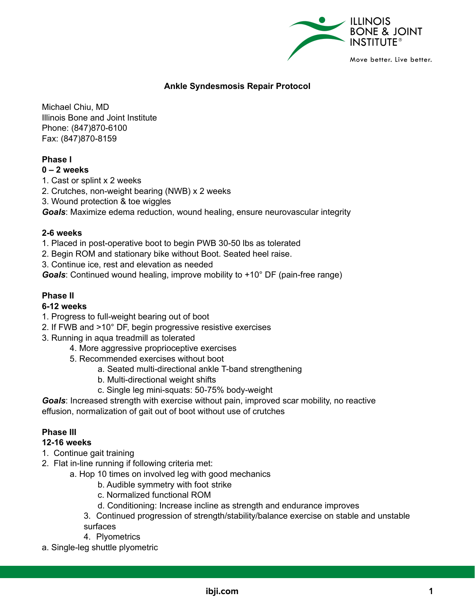

# **Ankle Syndesmosis Repair Protocol**

Michael Chiu, MD Illinois Bone and Joint Institute Phone: (847)870-6100 Fax: (847)870-8159

## **Phase I**

### **0 – 2 weeks**

1. Cast or splint x 2 weeks

2. Crutches, non-weight bearing (NWB) x 2 weeks

3. Wound protection & toe wiggles

*Goals*: Maximize edema reduction, wound healing, ensure neurovascular integrity

#### **2-6 weeks**

1. Placed in post-operative boot to begin PWB 30-50 lbs as tolerated

- 2. Begin ROM and stationary bike without Boot. Seated heel raise.
- 3. Continue ice, rest and elevation as needed

*Goals*: Continued wound healing, improve mobility to +10° DF (pain-free range)

## **Phase II**

#### **6-12 weeks**

- 1. Progress to full-weight bearing out of boot
- 2. If FWB and >10° DF, begin progressive resistive exercises
- 3. Running in aqua treadmill as tolerated
	- 4. More aggressive proprioceptive exercises
	- 5. Recommended exercises without boot
		- a. Seated multi-directional ankle T-band strengthening
		- b. Multi-directional weight shifts
		- c. Single leg mini-squats: 50-75% body-weight

*Goals*: Increased strength with exercise without pain, improved scar mobility, no reactive effusion, normalization of gait out of boot without use of crutches

## **Phase III**

#### **12-16 weeks**

- 1. Continue gait training
- 2. Flat in-line running if following criteria met:
	- a. Hop 10 times on involved leg with good mechanics
		- b. Audible symmetry with foot strike
		- c. Normalized functional ROM
		- d. Conditioning: Increase incline as strength and endurance improves
		- 3. Continued progression of strength/stability/balance exercise on stable and unstable

surfaces

- 4. Plyometrics
- a. Single-leg shuttle plyometric